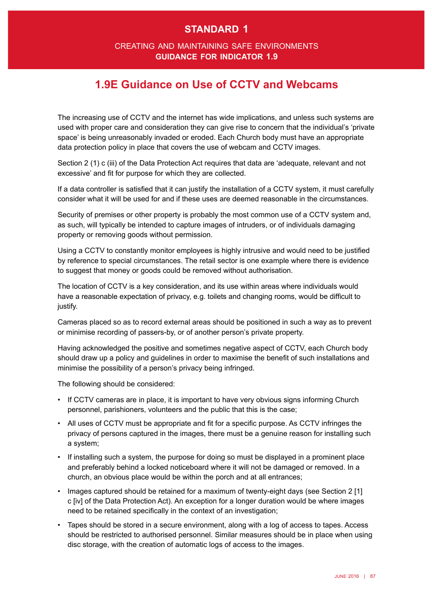## **standard 1**

#### creating and maintaining safe environments **guidance for indicator 1.9**

# **1.9E Guidance on Use of CCTV and Webcams**

The increasing use of CCTV and the internet has wide implications, and unless such systems are used with proper care and consideration they can give rise to concern that the individual's 'private space' is being unreasonably invaded or eroded. Each Church body must have an appropriate data protection policy in place that covers the use of webcam and CCTV images.

Section 2 (1) c (iii) of the Data Protection Act requires that data are 'adequate, relevant and not excessive' and fit for purpose for which they are collected.

If a data controller is satisfed that it can justify the installation of a CCTV system, it must carefully consider what it will be used for and if these uses are deemed reasonable in the circumstances.

Security of premises or other property is probably the most common use of a CCTV system and, as such, will typically be intended to capture images of intruders, or of individuals damaging property or removing goods without permission.

Using a CCTV to constantly monitor employees is highly intrusive and would need to be justifed by reference to special circumstances. The retail sector is one example where there is evidence to suggest that money or goods could be removed without authorisation.

The location of CCTV is a key consideration, and its use within areas where individuals would have a reasonable expectation of privacy, e.g. toilets and changing rooms, would be diffcult to justify.

Cameras placed so as to record external areas should be positioned in such a way as to prevent or minimise recording of passers-by, or of another person's private property.

Having acknowledged the positive and sometimes negative aspect of CCTV, each Church body should draw up a policy and guidelines in order to maximise the beneft of such installations and minimise the possibility of a person's privacy being infringed.

The following should be considered:

- • If CCTV cameras are in place, it is important to have very obvious signs informing Church personnel, parishioners, volunteers and the public that this is the case;
- • All uses of CCTV must be appropriate and ft for a specifc purpose. As CCTV infringes the privacy of persons captured in the images, there must be a genuine reason for installing such a system;
- If installing such a system, the purpose for doing so must be displayed in a prominent place and preferably behind a locked noticeboard where it will not be damaged or removed. In a church, an obvious place would be within the porch and at all entrances;
- Images captured should be retained for a maximum of twenty-eight days (see Section 2 [1] c [iv] of the Data Protection Act). An exception for a longer duration would be where images need to be retained specifcally in the context of an investigation;
- • Tapes should be stored in a secure environment, along with a log of access to tapes. Access should be restricted to authorised personnel. Similar measures should be in place when using disc storage, with the creation of automatic logs of access to the images.